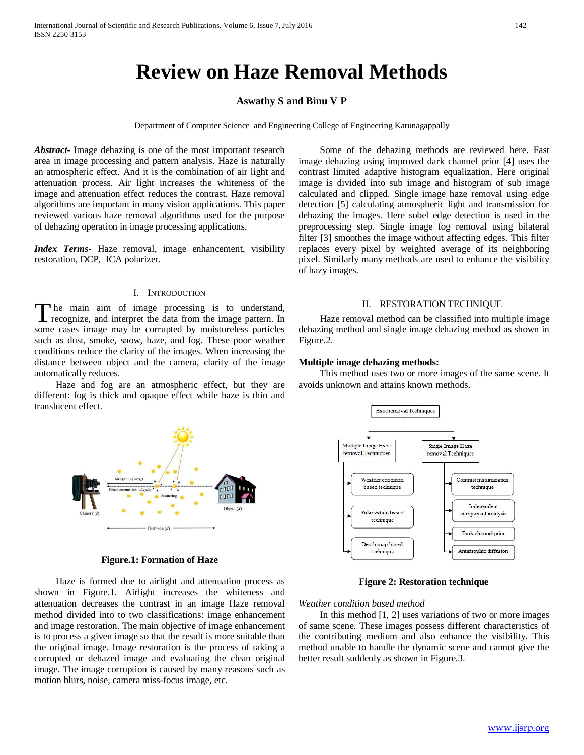# **Review on Haze Removal Methods**

## **Aswathy S and Binu V P**

Department of Computer Science and Engineering College of Engineering Karunagappally

*Abstract***-** Image dehazing is one of the most important research area in image processing and pattern analysis. Haze is naturally an atmospheric effect. And it is the combination of air light and attenuation process. Air light increases the whiteness of the image and attenuation effect reduces the contrast. Haze removal algorithms are important in many vision applications. This paper reviewed various haze removal algorithms used for the purpose of dehazing operation in image processing applications.

*Index Terms*- Haze removal, image enhancement, visibility restoration, DCP, ICA polarizer.

## I. INTRODUCTION

he main aim of image processing is to understand, The main aim of image processing is to understand, recognize, and interpret the data from the image pattern. In some cases image may be corrupted by moistureless particles such as dust, smoke, snow, haze, and fog. These poor weather conditions reduce the clarity of the images. When increasing the distance between object and the camera, clarity of the image automatically reduces.

 Haze and fog are an atmospheric effect, but they are different: fog is thick and opaque effect while haze is thin and translucent effect.

 Some of the dehazing methods are reviewed here. Fast image dehazing using improved dark channel prior [4] uses the contrast limited adaptive histogram equalization. Here original image is divided into sub image and histogram of sub image calculated and clipped. Single image haze removal using edge detection [5] calculating atmospheric light and transmission for dehazing the images. Here sobel edge detection is used in the preprocessing step. Single image fog removal using bilateral filter [3] smoothes the image without affecting edges. This filter replaces every pixel by weighted average of its neighboring pixel. Similarly many methods are used to enhance the visibility of hazy images.

## II. RESTORATION TECHNIQUE

 Haze removal method can be classified into multiple image dehazing method and single image dehazing method as shown in Figure.2.

#### **Multiple image dehazing methods:**

 This method uses two or more images of the same scene. It avoids unknown and attains known methods.



**Figure.1: Formation of Haze**

 Haze is formed due to airlight and attenuation process as shown in Figure.1. Airlight increases the whiteness and attenuation decreases the contrast in an image Haze removal method divided into to two classifications: image enhancement and image restoration. The main objective of image enhancement is to process a given image so that the result is more suitable than the original image. Image restoration is the process of taking a corrupted or dehazed image and evaluating the clean original image. The image corruption is caused by many reasons such as motion blurs, noise, camera miss-focus image, etc.



**Figure 2: Restoration technique**

## *Weather condition based method*

 In this method [1, 2] uses variations of two or more images of same scene. These images possess different characteristics of the contributing medium and also enhance the visibility. This method unable to handle the dynamic scene and cannot give the better result suddenly as shown in Figure.3.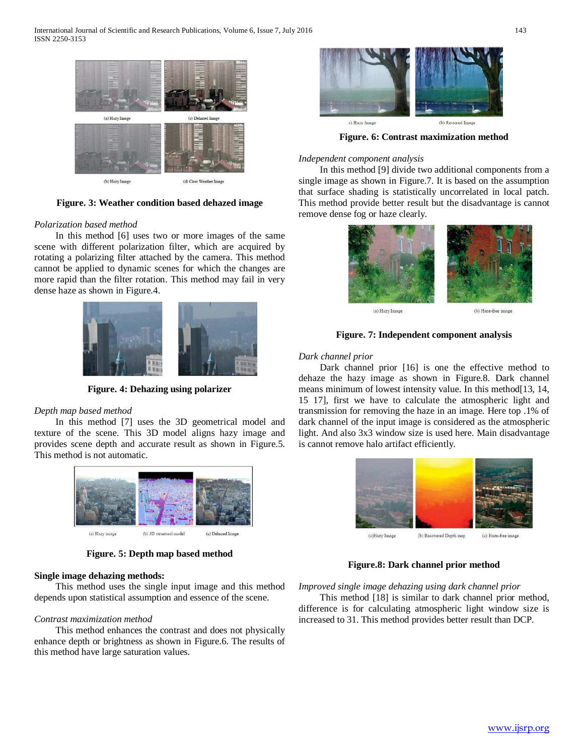

**Figure. 3: Weather condition based dehazed image**

## *Polarization based method*

 In this method [6] uses two or more images of the same scene with different polarization filter, which are acquired by rotating a polarizing filter attached by the camera. This method cannot be applied to dynamic scenes for which the changes are more rapid than the filter rotation. This method may fail in very dense haze as shown in Figure.4.



**Figure. 4: Dehazing using polarizer**

## *Depth map based method*

 In this method [7] uses the 3D geometrical model and texture of the scene. This 3D model aligns hazy image and provides scene depth and accurate result as shown in Figure.5. This method is not automatic.



**Figure. 5: Depth map based method**

#### **Single image dehazing methods:**

 This method uses the single input image and this method depends upon statistical assumption and essence of the scene.

# *Contrast maximization method*

 This method enhances the contrast and does not physically enhance depth or brightness as shown in Figure.6. The results of this method have large saturation values.



**Figure. 6: Contrast maximization method**

#### *Independent component analysis*

 In this method [9] divide two additional components from a single image as shown in Figure.7. It is based on the assumption that surface shading is statistically uncorrelated in local patch. This method provide better result but the disadvantage is cannot remove dense fog or haze clearly.



(a) Hazy Image

(b) Haze-free image

**Figure. 7: Independent component analysis**

#### *Dark channel prior*

 Dark channel prior [16] is one the effective method to dehaze the hazy image as shown in Figure.8. Dark channel means minimum of lowest intensity value. In this method[13, 14, 15 17], first we have to calculate the atmospheric light and transmission for removing the haze in an image. Here top .1% of dark channel of the input image is considered as the atmospheric light. And also 3x3 window size is used here. Main disadvantage is cannot remove halo artifact efficiently.



**Figure.8: Dark channel prior method**

*Improved single image dehazing using dark channel prior*

 This method [18] is similar to dark channel prior method, difference is for calculating atmospheric light window size is increased to 31. This method provides better result than DCP.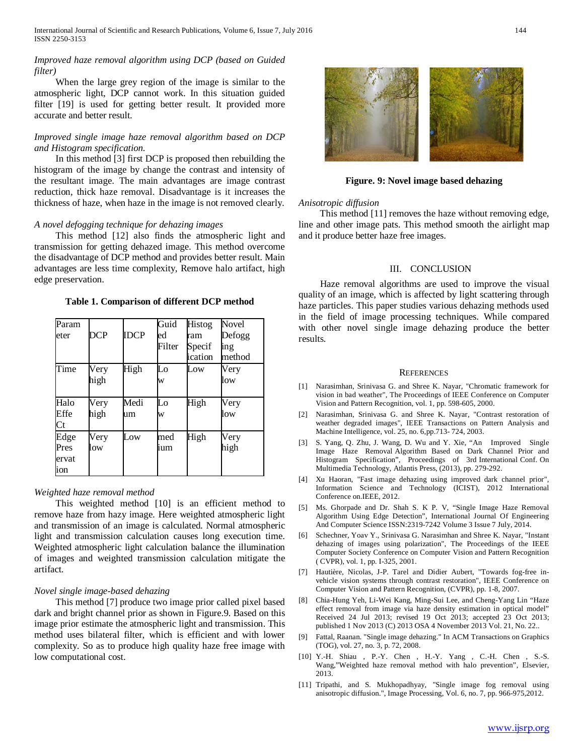## *Improved haze removal algorithm using DCP (based on Guided filter)*

 When the large grey region of the image is similar to the atmospheric light, DCP cannot work. In this situation guided filter [19] is used for getting better result. It provided more accurate and better result.

## *Improved single image haze removal algorithm based on DCP and Histogram specification.*

 In this method [3] first DCP is proposed then rebuilding the histogram of the image by change the contrast and intensity of the resultant image. The main advantages are image contrast reduction, thick haze removal. Disadvantage is it increases the thickness of haze, when haze in the image is not removed clearly.

## *A novel defogging technique for dehazing images*

 This method [12] also finds the atmospheric light and transmission for getting dehazed image. This method overcome the disadvantage of DCP method and provides better result. Main advantages are less time complexity, Remove halo artifact, high edge preservation.

**Table 1. Comparison of different DCP method**

| Param<br>eter                | DCP          | <b>IDCP</b> | Guid<br>ed<br>Filter | Histog<br>ram<br>Specif<br>ication | Novel<br>Defogg<br>ing<br>method |
|------------------------------|--------------|-------------|----------------------|------------------------------------|----------------------------------|
| Time                         | Very<br>high | High        | Lo<br>W              | Low                                | Very<br>low                      |
| Halo<br>Effe<br>Ct           | Very<br>high | Medi<br>um  | Lo<br>W              | High                               | Very<br>low                      |
| Edge<br>Pres<br>ervat<br>ion | Very<br>low  | Low         | med<br>ium           | High                               | Very<br>high                     |

#### *Weighted haze removal method*

 This weighted method [10] is an efficient method to remove haze from hazy image. Here weighted atmospheric light and transmission of an image is calculated. Normal atmospheric light and transmission calculation causes long execution time. Weighted atmospheric light calculation balance the illumination of images and weighted transmission calculation mitigate the artifact.

## *Novel single image-based dehazing*

 This method [7] produce two image prior called pixel based dark and bright channel prior as shown in Figure.9. Based on this image prior estimate the atmospheric light and transmission. This method uses bilateral filter, which is efficient and with lower complexity. So as to produce high quality haze free image with low computational cost.



**Figure. 9: Novel image based dehazing**

#### *Anisotropic diffusion*

 This method [11] removes the haze without removing edge, line and other image pats. This method smooth the airlight map and it produce better haze free images.

#### III. CONCLUSION

 Haze removal algorithms are used to improve the visual quality of an image, which is affected by light scattering through haze particles. This paper studies various dehazing methods used in the field of image processing techniques. While compared with other novel single image dehazing produce the better results.

#### **REFERENCES**

- [1] Narasimhan, Srinivasa G. and Shree K. Nayar, "Chromatic framework for vision in bad weather", The Proceedings of IEEE Conference on Computer Vision and Pattern Recognition, vol. 1, pp. 598-605, 2000.
- [2] Narasimhan, Srinivasa G. and Shree K. Nayar, "Contrast restoration of weather degraded images", IEEE Transactions on Pattern Analysis and Machine Intelligence, vol. 25, no. 6,pp.713- 724, 2003.
- [3] S. Yang, Q. Zhu, J. Wang, D. Wu and Y. Xie, "An Improved Single Image Haze Removal Algorithm Based on Dark Channel Prior and Histogram Specification", Proceedings of 3rd International Conf. On Multimedia Technology, Atlantis Press, (2013), pp. 279-292.
- [4] Xu Haoran, "Fast image dehazing using improved dark channel prior", Information Science and Technology (ICIST), 2012 International Conference on.IEEE, 2012.
- [5] Ms. Ghorpade and Dr. Shah S. K P. V, "Single Image Haze Removal Algorithm Using Edge Detection", International Journal Of Engineering And Computer Science ISSN:2319-7242 Volume 3 Issue 7 July, 2014.
- [6] Schechner, Yoav Y., Srinivasa G. Narasimhan and Shree K. Nayar, "Instant dehazing of images using polarization", The Proceedings of the IEEE Computer Society Conference on Computer Vision and Pattern Recognition ( CVPR), vol. 1, pp. I-325, 2001.
- [7] Hautière, Nicolas, J-P. Tarel and Didier Aubert, "Towards fog-free invehicle vision systems through contrast restoration", IEEE Conference on Computer Vision and Pattern Recognition, (CVPR), pp. 1-8, 2007.
- [8] Chia-Hung Yeh, Li-Wei Kang, Ming-Sui Lee, and Cheng-Yang Lin "Haze effect removal from image via haze density estimation in optical model" Received 24 Jul 2013; revised 19 Oct 2013; accepted 23 Oct 2013; published 1 Nov 2013 (C) 2013 OSA 4 November 2013 Vol. 21, No. 22..
- [9] Fattal, Raanan. "Single image dehazing." In ACM Transactions on Graphics (TOG), vol. 27, no. 3, p. 72, 2008.
- [10] Y.-H. Shiau , P.-Y. Chen , H.-Y. Yang , C.-H. Chen , S.-S. Wang,"Weighted haze removal method with halo prevention", Elsevier, 2013.
- [11] Tripathi, and S. Mukhopadhyay, "Single image fog removal using anisotropic diffusion.", Image Processing, Vol. 6, no. 7, pp. 966-975,2012.